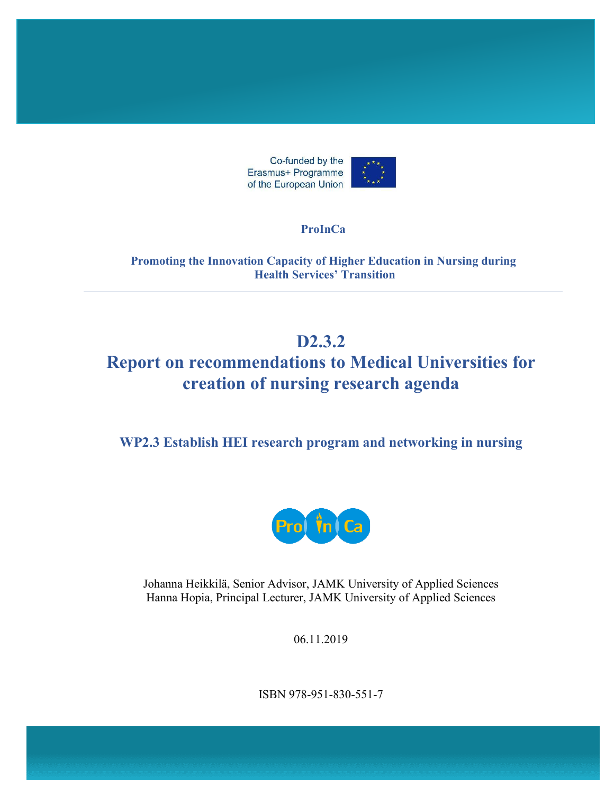

#### **ProInCa**

**Promoting the Innovation Capacity of Higher Education in Nursing during Health Services' Transition**

## **D2.3.2**

# **Report on recommendations to Medical Universities for creation of nursing research agenda**

**WP2.3 Establish HEI research program and networking in nursing**



Johanna Heikkilä, Senior Advisor, JAMK University of Applied Sciences Hanna Hopia, Principal Lecturer, JAMK University of Applied Sciences

06.11.2019

ISBN 978-951-830-551-7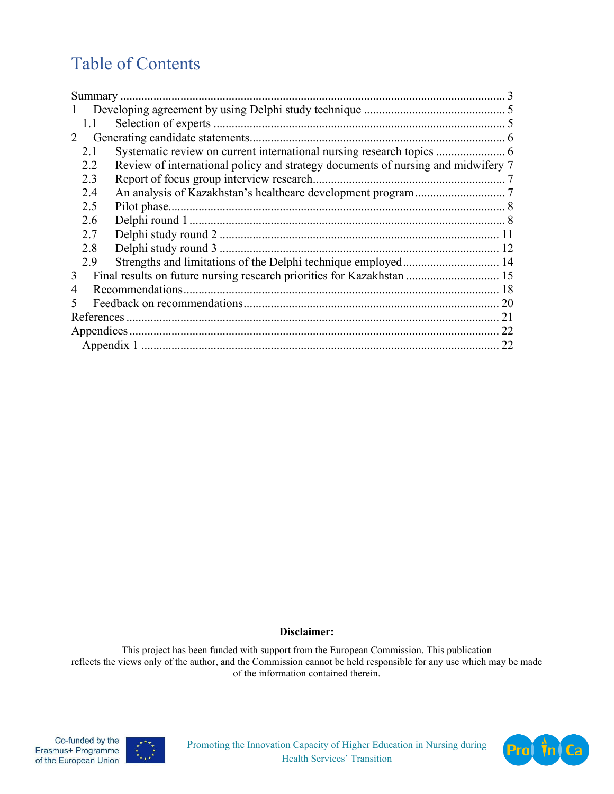# Table of Contents

| 1.1                                                                                     |  |  |  |
|-----------------------------------------------------------------------------------------|--|--|--|
| 2                                                                                       |  |  |  |
| 2.1                                                                                     |  |  |  |
| Review of international policy and strategy documents of nursing and midwifery 7<br>2.2 |  |  |  |
| 2.3                                                                                     |  |  |  |
| 2.4                                                                                     |  |  |  |
| 2.5                                                                                     |  |  |  |
| 2.6                                                                                     |  |  |  |
| 2.7                                                                                     |  |  |  |
| 2.8                                                                                     |  |  |  |
| 2.9                                                                                     |  |  |  |
| Final results on future nursing research priorities for Kazakhstan  15<br>3             |  |  |  |
| 4                                                                                       |  |  |  |
|                                                                                         |  |  |  |
|                                                                                         |  |  |  |
|                                                                                         |  |  |  |
|                                                                                         |  |  |  |

#### **Disclaimer:**

This project has been funded with support from the European Commission. This publication reflects the views only of the author, and the Commission cannot be held responsible for any use which may be made of the information contained therein.





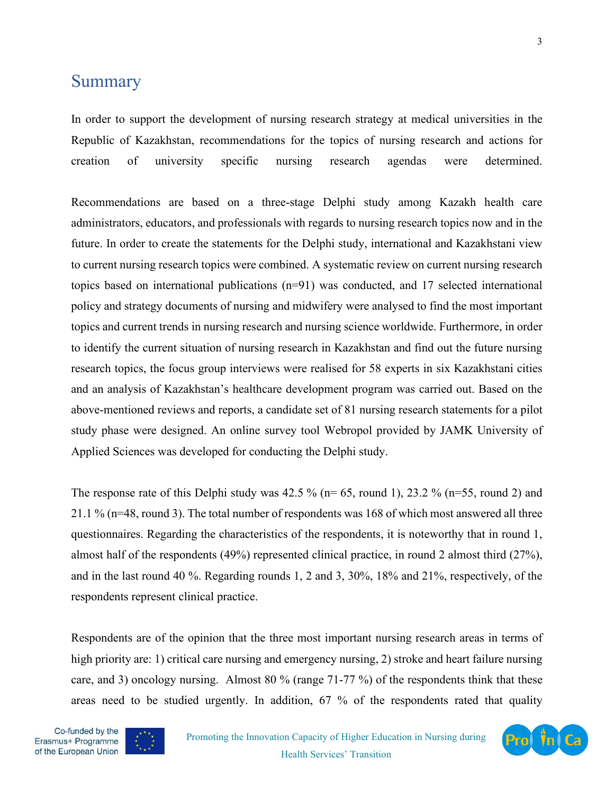### <span id="page-2-0"></span>**Summary**

In order to support the development of nursing research strategy at medical universities in the Republic of Kazakhstan, recommendations for the topics of nursing research and actions for creation of university specific nursing research agendas were determined.

Recommendations are based on a three-stage Delphi study among Kazakh health care administrators, educators, and professionals with regards to nursing research topics now and in the future. In order to create the statements for the Delphi study, international and Kazakhstani view to current nursing research topics were combined. A systematic review on current nursing research topics based on international publications (n=91) was conducted, and 17 selected international policy and strategy documents of nursing and midwifery were analysed to find the most important topics and current trends in nursing research and nursing science worldwide. Furthermore, in order to identify the current situation of nursing research in Kazakhstan and find out the future nursing research topics, the focus group interviews were realised for 58 experts in six Kazakhstani cities and an analysis of Kazakhstan's healthcare development program was carried out. Based on the above-mentioned reviews and reports, a candidate set of 81 nursing research statements for a pilot study phase were designed. An online survey tool Webropol provided by JAMK University of Applied Sciences was developed for conducting the Delphi study.

The response rate of this Delphi study was 42.5 % ( $n=65$ , round 1), 23.2 % ( $n=55$ , round 2) and 21.1 % (n=48, round 3). The total number of respondents was 168 of which most answered all three questionnaires. Regarding the characteristics of the respondents, it is noteworthy that in round 1, almost half of the respondents (49%) represented clinical practice, in round 2 almost third (27%), and in the last round 40 %. Regarding rounds 1, 2 and 3, 30%, 18% and 21%, respectively, of the respondents represent clinical practice.

Respondents are of the opinion that the three most important nursing research areas in terms of high priority are: 1) critical care nursing and emergency nursing, 2) stroke and heart failure nursing care, and 3) oncology nursing. Almost 80 % (range 71-77 %) of the respondents think that these areas need to be studied urgently. In addition, 67 % of the respondents rated that quality



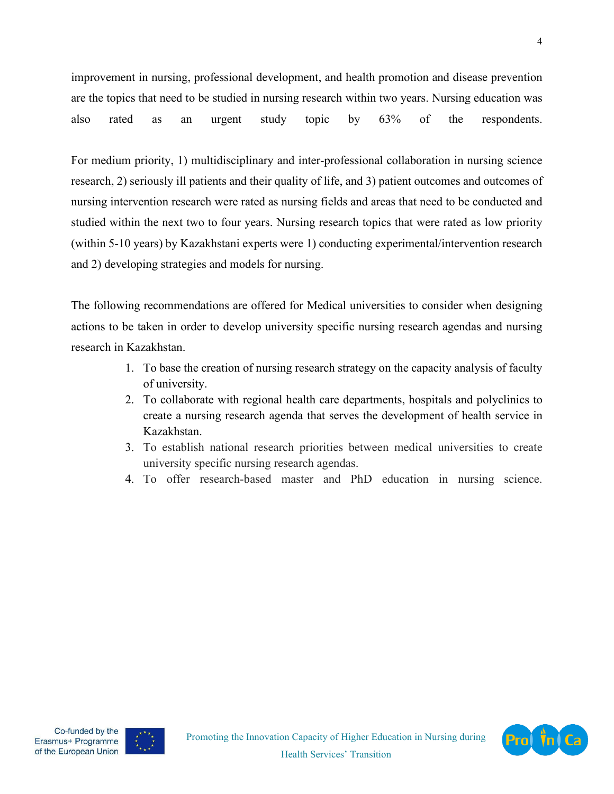improvement in nursing, professional development, and health promotion and disease prevention are the topics that need to be studied in nursing research within two years. Nursing education was also rated as an urgent study topic by 63% of the respondents.

For medium priority, 1) multidisciplinary and inter-professional collaboration in nursing science research, 2) seriously ill patients and their quality of life, and 3) patient outcomes and outcomes of nursing intervention research were rated as nursing fields and areas that need to be conducted and studied within the next two to four years. Nursing research topics that were rated as low priority (within 5-10 years) by Kazakhstani experts were 1) conducting experimental/intervention research and 2) developing strategies and models for nursing.

The following recommendations are offered for Medical universities to consider when designing actions to be taken in order to develop university specific nursing research agendas and nursing research in Kazakhstan.

- 1. To base the creation of nursing research strategy on the capacity analysis of faculty of university.
- 2. To collaborate with regional health care departments, hospitals and polyclinics to create a nursing research agenda that serves the development of health service in Kazakhstan.
- 3. To establish national research priorities between medical universities to create university specific nursing research agendas.
- 4. To offer research-based master and PhD education in nursing science.





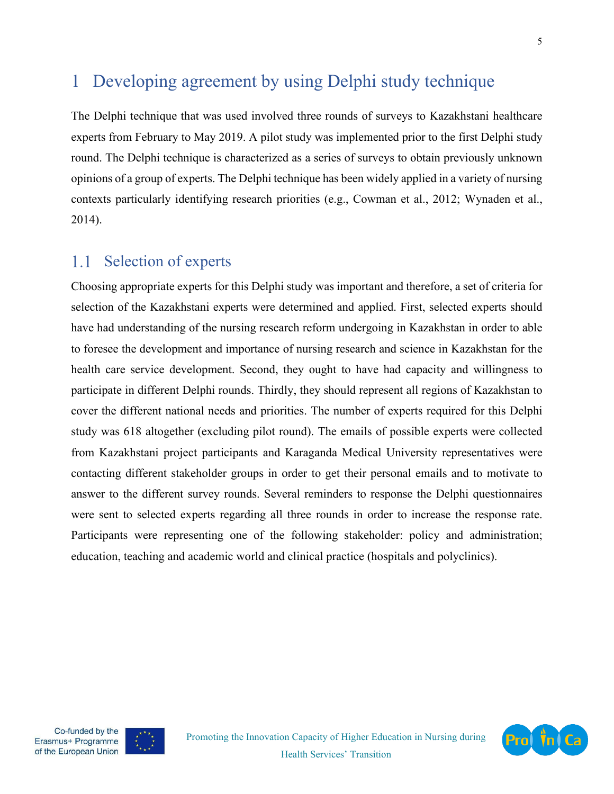## <span id="page-4-0"></span>1 Developing agreement by using Delphi study technique

The Delphi technique that was used involved three rounds of surveys to Kazakhstani healthcare experts from February to May 2019. A pilot study was implemented prior to the first Delphi study round. The Delphi technique is characterized as a series of surveys to obtain previously unknown opinions of a group of experts. The Delphi technique has been widely applied in a variety of nursing contexts particularly identifying research priorities (e.g., Cowman et al., 2012; Wynaden et al., 2014).

#### <span id="page-4-1"></span>Selection of experts 1.1

Choosing appropriate experts for this Delphi study was important and therefore, a set of criteria for selection of the Kazakhstani experts were determined and applied. First, selected experts should have had understanding of the nursing research reform undergoing in Kazakhstan in order to able to foresee the development and importance of nursing research and science in Kazakhstan for the health care service development. Second, they ought to have had capacity and willingness to participate in different Delphi rounds. Thirdly, they should represent all regions of Kazakhstan to cover the different national needs and priorities. The number of experts required for this Delphi study was 618 altogether (excluding pilot round). The emails of possible experts were collected from Kazakhstani project participants and Karaganda Medical University representatives were contacting different stakeholder groups in order to get their personal emails and to motivate to answer to the different survey rounds. Several reminders to response the Delphi questionnaires were sent to selected experts regarding all three rounds in order to increase the response rate. Participants were representing one of the following stakeholder: policy and administration; education, teaching and academic world and clinical practice (hospitals and polyclinics).

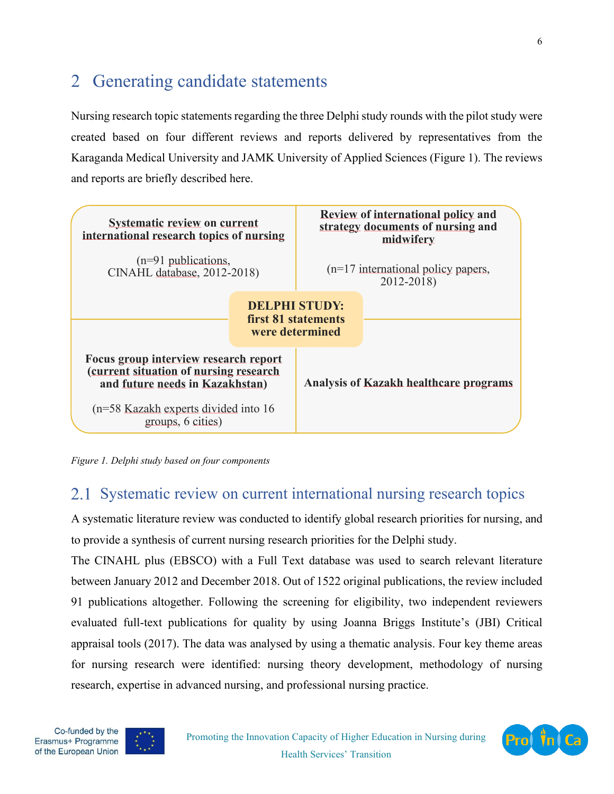# <span id="page-5-0"></span>2 Generating candidate statements

Nursing research topic statements regarding the three Delphi study rounds with the pilot study were created based on four different reviews and reports delivered by representatives from the Karaganda Medical University and JAMK University of Applied Sciences (Figure 1). The reviews and reports are briefly described here.



*Figure 1. Delphi study based on four components*

## <span id="page-5-1"></span>2.1 Systematic review on current international nursing research topics

A systematic literature review was conducted to identify global research priorities for nursing, and to provide a synthesis of current nursing research priorities for the Delphi study.

The CINAHL plus (EBSCO) with a Full Text database was used to search relevant literature between January 2012 and December 2018. Out of 1522 original publications, the review included 91 publications altogether. Following the screening for eligibility, two independent reviewers evaluated full-text publications for quality by using Joanna Briggs Institute's (JBI) Critical appraisal tools (2017). The data was analysed by using a thematic analysis. Four key theme areas for nursing research were identified: nursing theory development, methodology of nursing research, expertise in advanced nursing, and professional nursing practice.



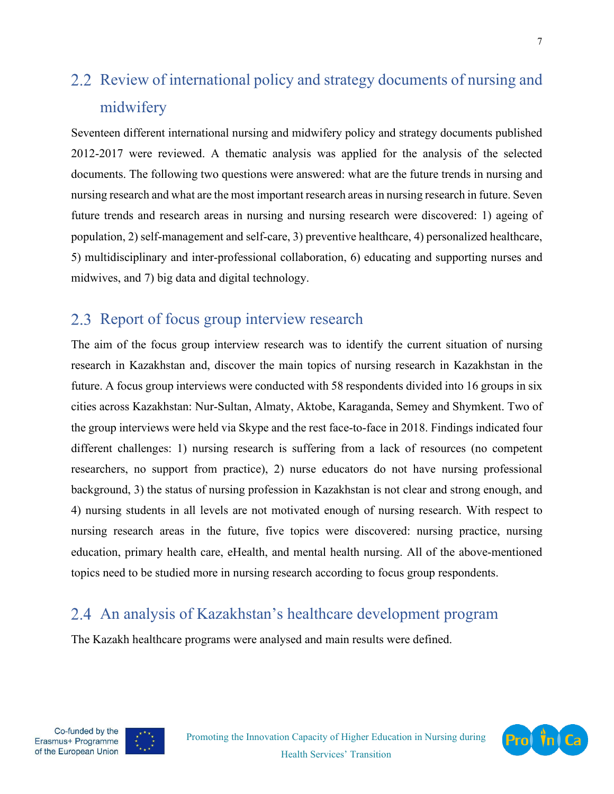# <span id="page-6-0"></span>2.2 Review of international policy and strategy documents of nursing and midwifery

Seventeen different international nursing and midwifery policy and strategy documents published 2012-2017 were reviewed. A thematic analysis was applied for the analysis of the selected documents. The following two questions were answered: what are the future trends in nursing and nursing research and what are the most important research areas in nursing research in future. Seven future trends and research areas in nursing and nursing research were discovered: 1) ageing of population, 2) self-management and self-care, 3) preventive healthcare, 4) personalized healthcare, 5) multidisciplinary and inter-professional collaboration, 6) educating and supporting nurses and midwives, and 7) big data and digital technology.

## <span id="page-6-1"></span>2.3 Report of focus group interview research

The aim of the focus group interview research was to identify the current situation of nursing research in Kazakhstan and, discover the main topics of nursing research in Kazakhstan in the future. A focus group interviews were conducted with 58 respondents divided into 16 groups in six cities across Kazakhstan: Nur-Sultan, Almaty, Aktobe, Karaganda, Semey and Shymkent. Two of the group interviews were held via Skype and the rest face-to-face in 2018. Findings indicated four different challenges: 1) nursing research is suffering from a lack of resources (no competent researchers, no support from practice), 2) nurse educators do not have nursing professional background, 3) the status of nursing profession in Kazakhstan is not clear and strong enough, and 4) nursing students in all levels are not motivated enough of nursing research. With respect to nursing research areas in the future, five topics were discovered: nursing practice, nursing education, primary health care, eHealth, and mental health nursing. All of the above-mentioned topics need to be studied more in nursing research according to focus group respondents.

## <span id="page-6-2"></span>2.4 An analysis of Kazakhstan's healthcare development program

The Kazakh healthcare programs were analysed and main results were defined.





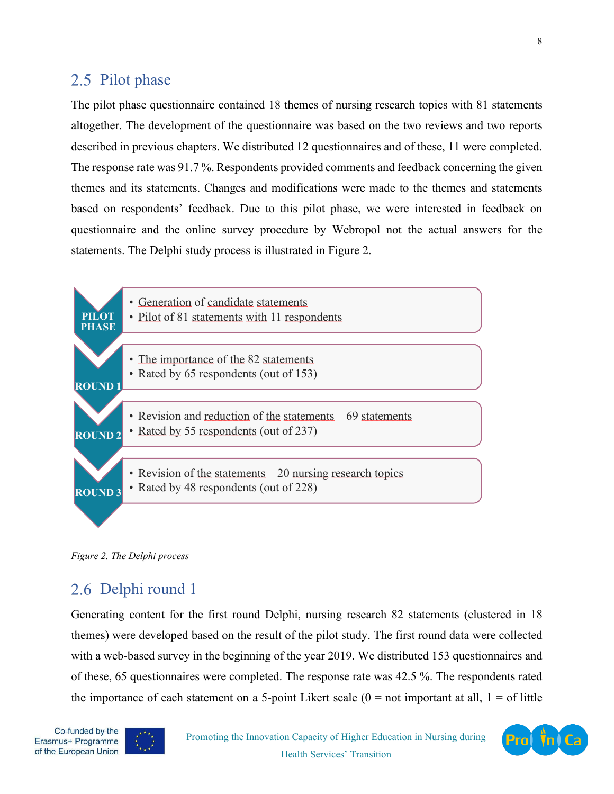#### <span id="page-7-0"></span>2.5 Pilot phase

The pilot phase questionnaire contained 18 themes of nursing research topics with 81 statements altogether. The development of the questionnaire was based on the two reviews and two reports described in previous chapters. We distributed 12 questionnaires and of these, 11 were completed. The response rate was 91.7 %. Respondents provided comments and feedback concerning the given themes and its statements. Changes and modifications were made to the themes and statements based on respondents' feedback. Due to this pilot phase, we were interested in feedback on questionnaire and the online survey procedure by Webropol not the actual answers for the statements. The Delphi study process is illustrated in Figure 2.



*Figure 2. The Delphi process*

### <span id="page-7-1"></span>2.6 Delphi round 1

Generating content for the first round Delphi, nursing research 82 statements (clustered in 18 themes) were developed based on the result of the pilot study. The first round data were collected with a web-based survey in the beginning of the year 2019. We distributed 153 questionnaires and of these, 65 questionnaires were completed. The response rate was 42.5 %. The respondents rated the importance of each statement on a 5-point Likert scale  $(0 = not important at all, 1 = of little$ 



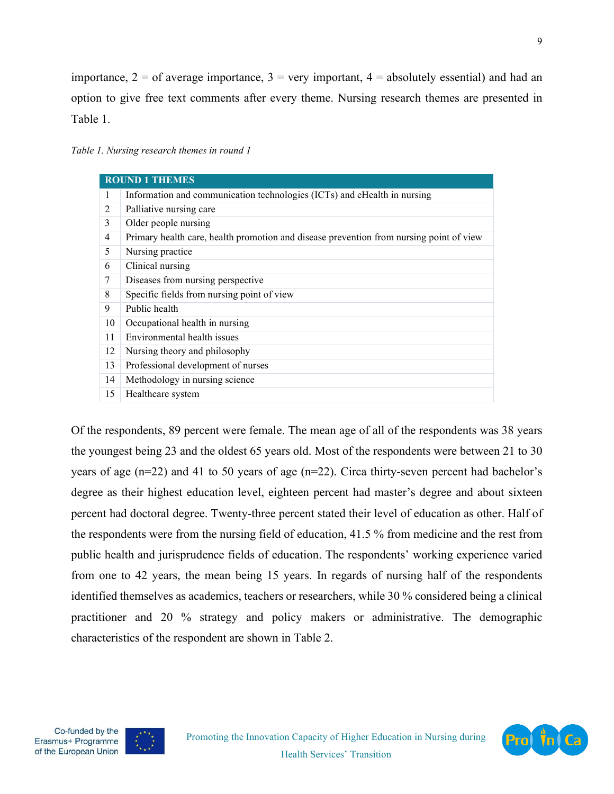importance,  $2 =$  of average importance,  $3 =$  very important,  $4 =$  absolutely essential) and had an option to give free text comments after every theme. Nursing research themes are presented in Table 1.

*Table 1. Nursing research themes in round 1*

| <b>ROUND 1 THEMES</b> |                                                                                         |  |  |
|-----------------------|-----------------------------------------------------------------------------------------|--|--|
| 1                     | Information and communication technologies (ICTs) and eHealth in nursing                |  |  |
| 2                     | Palliative nursing care                                                                 |  |  |
| 3                     | Older people nursing                                                                    |  |  |
| $\overline{4}$        | Primary health care, health promotion and disease prevention from nursing point of view |  |  |
| 5                     | Nursing practice                                                                        |  |  |
| 6                     | Clinical nursing                                                                        |  |  |
| 7                     | Diseases from nursing perspective                                                       |  |  |
| 8                     | Specific fields from nursing point of view                                              |  |  |
| 9                     | Public health                                                                           |  |  |
| 10                    | Occupational health in nursing                                                          |  |  |
| 11                    | Environmental health issues                                                             |  |  |
| 12                    | Nursing theory and philosophy                                                           |  |  |
| 13                    | Professional development of nurses                                                      |  |  |
| 14                    | Methodology in nursing science                                                          |  |  |
| 15                    | Healthcare system                                                                       |  |  |

Of the respondents, 89 percent were female. The mean age of all of the respondents was 38 years the youngest being 23 and the oldest 65 years old. Most of the respondents were between 21 to 30 years of age (n=22) and 41 to 50 years of age (n=22). Circa thirty-seven percent had bachelor's degree as their highest education level, eighteen percent had master's degree and about sixteen percent had doctoral degree. Twenty-three percent stated their level of education as other. Half of the respondents were from the nursing field of education, 41.5 % from medicine and the rest from public health and jurisprudence fields of education. The respondents' working experience varied from one to 42 years, the mean being 15 years. In regards of nursing half of the respondents identified themselves as academics, teachers or researchers, while 30 % considered being a clinical practitioner and 20 % strategy and policy makers or administrative. The demographic characteristics of the respondent are shown in Table 2.



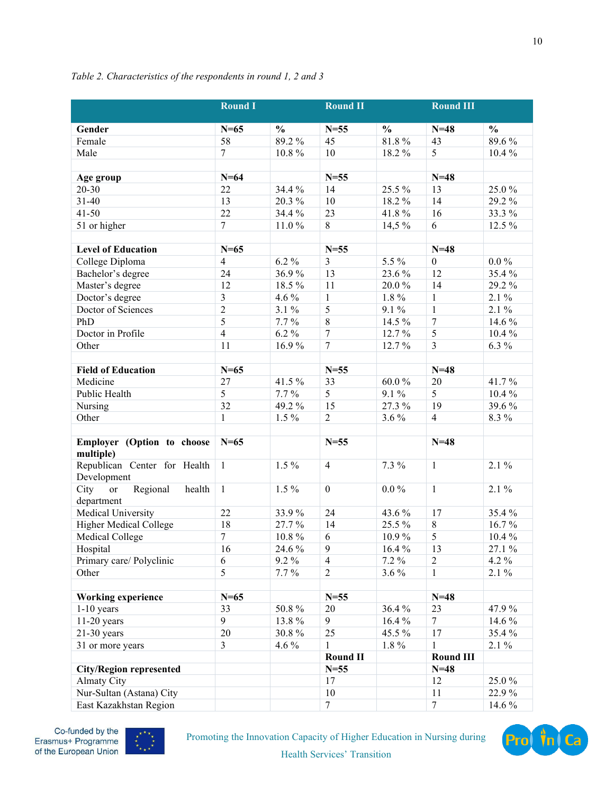|                                                | <b>Round I</b>   |               | <b>Round II</b>  |               | <b>Round III</b> |               |
|------------------------------------------------|------------------|---------------|------------------|---------------|------------------|---------------|
| Gender                                         | $N=65$           | $\frac{0}{0}$ | $N=55$           | $\frac{0}{0}$ | $N=48$           | $\frac{0}{0}$ |
| Female                                         | 58               | 89.2%         | 45               | 81.8%         | 43               | 89.6%         |
| Male                                           | $\overline{7}$   | 10.8%         | 10               | 18.2%         | 5                | 10.4%         |
|                                                |                  |               |                  |               |                  |               |
| Age group                                      | $N=64$           |               | $N=55$           |               | $N=48$           |               |
| $20 - 30$                                      | 22               | 34.4 %        | 14               | 25.5 %        | 13               | 25.0%         |
| $31 - 40$                                      | 13               | 20.3%         | 10               | 18.2%         | 14               | 29.2%         |
| $41 - 50$                                      | 22               | 34.4 %        | 23               | 41.8%         | 16               | 33.3%         |
| 51 or higher                                   | $\overline{7}$   | 11.0%         | 8                | 14,5 %        | 6                | 12.5 %        |
|                                                |                  |               |                  |               |                  |               |
| <b>Level of Education</b>                      | $N=65$           |               | $N=55$           |               | $N=48$           |               |
| College Diploma                                | $\overline{4}$   | $6.2\%$       | $\overline{3}$   | 5.5 %         | $\overline{0}$   | $0.0\%$       |
| Bachelor's degree                              | 24               | 36.9%         | 13               | 23.6 %        | 12               | 35.4%         |
| Master's degree                                | 12               | 18.5%         | 11               | 20.0%         | 14               | 29.2%         |
| Doctor's degree                                | 3                | 4.6 %         | $\mathbf{1}$     | 1.8%          | $\mathbf{1}$     | $2.1\%$       |
| Doctor of Sciences                             | $\overline{2}$   | 3.1 %         | 5                | 9.1 %         | $\mathbf{1}$     | $2.1\%$       |
| PhD                                            | 5                | 7.7%          | 8                | 14.5 %        | $\overline{7}$   | 14.6 %        |
| Doctor in Profile                              | $\overline{4}$   | $6.2\%$       | $\overline{7}$   | 12.7%         | 5                | 10.4%         |
| Other                                          | 11               | 16.9%         | $\overline{7}$   | 12.7%         | $\overline{3}$   | $6.3\%$       |
|                                                |                  |               |                  |               |                  |               |
| <b>Field of Education</b>                      | $N=65$           |               | $N=55$           |               | $N=48$           |               |
| Medicine                                       | 27               | 41.5%         | 33               | 60.0%         | $20\,$           | 41.7%         |
| Public Health                                  | 5                | $7.7\%$       | 5                | $9.1\%$       | 5                | 10.4%         |
| Nursing                                        | 32               | 49.2%         | 15               | 27.3 %        | 19               | 39.6%         |
| Other                                          | $\mathbf{1}$     | $1.5\%$       | $\overline{2}$   | 3.6%          | $\overline{4}$   | 8.3%          |
|                                                |                  |               |                  |               |                  |               |
| Employer (Option to choose<br>multiple)        | $N=65$           |               | $N = 55$         |               | $N=48$           |               |
| Republican Center for Health<br>Development    | $\mathbf{1}$     | $1.5\%$       | $\overline{4}$   | 7.3 %         | $\mathbf{1}$     | $2.1\%$       |
| Regional<br>health<br>City<br>or<br>department | $\mathbf{1}$     | $1.5\%$       | $\boldsymbol{0}$ | $0.0\%$       | $\mathbf{1}$     | $2.1\%$       |
| Medical University                             | 22               | 33.9%         | 24               | 43.6 %        | 17               | 35.4%         |
| Higher Medical College                         | 18               | 27.7%         | 14               | 25.5 %        | $8\,$            | 16.7%         |
| Medical College                                | $\boldsymbol{7}$ | 10.8%         | 6                | 10.9%         | 5                | 10.4%         |
| Hospital                                       | 16               | 24.6 %        | 9                | 16.4 %        | 13               | 27.1 %        |
| Primary care/ Polyclinic                       | 6                | 9.2 %         | $\overline{4}$   | 7.2 %         | $\overline{2}$   | 4.2 %         |
| Other                                          | 5                | $7.7\%$       | 2                | 3.6 %         | 1                | $2.1\%$       |
|                                                |                  |               |                  |               |                  |               |
| <b>Working experience</b>                      | $N=65$           |               | $N=55$           |               | $N=48$           |               |
| $1-10$ years                                   | 33               | 50.8%         | 20               | 36.4 %        | 23               | 47.9%         |
| $11-20$ years                                  | 9                | 13.8%         | 9                | 16.4%         | 7                | 14.6 %        |
| $21-30$ years                                  | 20               | 30.8%         | 25               | 45.5 %        | 17               | 35.4%         |
| 31 or more years                               | 3                | 4.6 %         | 1                | $1.8\%$       | 1                | $2.1\%$       |
|                                                |                  |               | <b>Round II</b>  |               | <b>Round III</b> |               |
| <b>City/Region represented</b>                 |                  |               | $N=55$           |               | $N=48$           |               |
| <b>Almaty City</b>                             |                  |               | 17               |               | 12               | 25.0%         |
| Nur-Sultan (Astana) City                       |                  |               | 10               |               | 11               | 22.9%         |
| East Kazakhstan Region                         |                  |               | $\tau$           |               | $\tau$           | 14.6 %        |
|                                                |                  |               |                  |               |                  |               |

#### *Table 2. Characteristics of the respondents in round 1, 2 and 3*



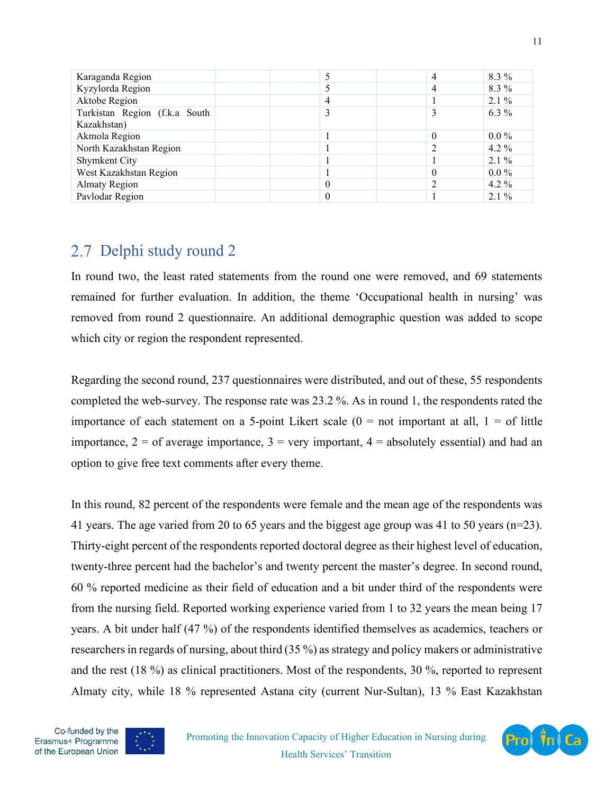| Karaganda Region              | $\overline{4}$ | 8.3 %   |
|-------------------------------|----------------|---------|
| Kyzylorda Region              | 4              | 8.3 %   |
| Aktobe Region                 |                | $2.1\%$ |
| Turkistan Region (f.k.a South |                | $6.3\%$ |
| Kazakhstan)                   |                |         |
| Akmola Region                 | $\theta$       | $0.0\%$ |
| North Kazakhstan Region       | っ              | 4.2 $%$ |
| Shymkent City                 |                | $2.1\%$ |
| West Kazakhstan Region        | $\theta$       | $0.0\%$ |
| <b>Almaty Region</b>          |                | 4.2 $%$ |
| Pavlodar Region               |                | $2.1\%$ |

## <span id="page-10-0"></span>2.7 Delphi study round 2

In round two, the least rated statements from the round one were removed, and 69 statements remained for further evaluation. In addition, the theme 'Occupational health in nursing' was removed from round 2 questionnaire. An additional demographic question was added to scope which city or region the respondent represented.

Regarding the second round, 237 questionnaires were distributed, and out of these, 55 respondents completed the web-survey. The response rate was 23.2 %. As in round 1, the respondents rated the importance of each statement on a 5-point Likert scale  $(0 = not$  important at all,  $1 = of$  little importance,  $2 =$  of average importance,  $3 =$  very important,  $4 =$  absolutely essential) and had an option to give free text comments after every theme.

In this round, 82 percent of the respondents were female and the mean age of the respondents was 41 years. The age varied from 20 to 65 years and the biggest age group was 41 to 50 years (n=23). Thirty-eight percent of the respondents reported doctoral degree as their highest level of education, twenty-three percent had the bachelor's and twenty percent the master's degree. In second round, 60 % reported medicine as their field of education and a bit under third of the respondents were from the nursing field. Reported working experience varied from 1 to 32 years the mean being 17 years. A bit under half (47 %) of the respondents identified themselves as academics, teachers or researchers in regards of nursing, about third (35 %) as strategy and policy makers or administrative and the rest (18 %) as clinical practitioners. Most of the respondents, 30 %, reported to represent Almaty city, while 18 % represented Astana city (current Nur-Sultan), 13 % East Kazakhstan



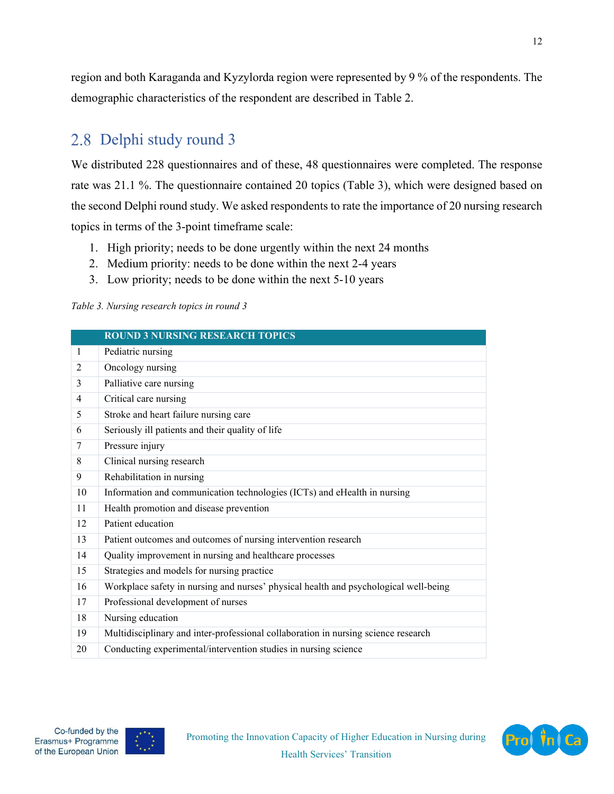region and both Karaganda and Kyzylorda region were represented by 9 % of the respondents. The demographic characteristics of the respondent are described in Table 2.

## <span id="page-11-0"></span>2.8 Delphi study round 3

We distributed 228 questionnaires and of these, 48 questionnaires were completed. The response rate was 21.1 %. The questionnaire contained 20 topics (Table 3), which were designed based on the second Delphi round study. We asked respondents to rate the importance of 20 nursing research topics in terms of the 3-point timeframe scale:

- 1. High priority; needs to be done urgently within the next 24 months
- 2. Medium priority: needs to be done within the next 2-4 years
- 3. Low priority; needs to be done within the next 5-10 years

*Table 3. Nursing research topics in round 3*

|                | <b>ROUND 3 NURSING RESEARCH TOPICS</b>                                               |
|----------------|--------------------------------------------------------------------------------------|
| $\mathbf{1}$   | Pediatric nursing                                                                    |
| 2              | Oncology nursing                                                                     |
| 3              | Palliative care nursing                                                              |
| $\overline{4}$ | Critical care nursing                                                                |
| 5              | Stroke and heart failure nursing care                                                |
| 6              | Seriously ill patients and their quality of life                                     |
| 7              | Pressure injury                                                                      |
| 8              | Clinical nursing research                                                            |
| 9              | Rehabilitation in nursing                                                            |
| 10             | Information and communication technologies (ICTs) and eHealth in nursing             |
| 11             | Health promotion and disease prevention                                              |
| 12             | Patient education                                                                    |
| 13             | Patient outcomes and outcomes of nursing intervention research                       |
| 14             | Quality improvement in nursing and healthcare processes                              |
| 15             | Strategies and models for nursing practice                                           |
| 16             | Workplace safety in nursing and nurses' physical health and psychological well-being |
| 17             | Professional development of nurses                                                   |
| 18             | Nursing education                                                                    |
| 19             | Multidisciplinary and inter-professional collaboration in nursing science research   |
| 20             | Conducting experimental/intervention studies in nursing science                      |



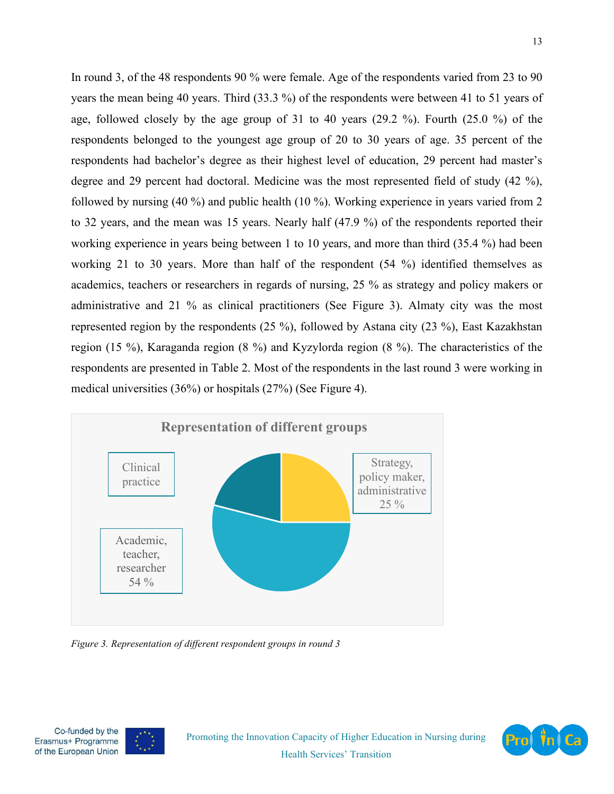In round 3, of the 48 respondents 90 % were female. Age of the respondents varied from 23 to 90 years the mean being 40 years. Third (33.3 %) of the respondents were between 41 to 51 years of age, followed closely by the age group of 31 to 40 years (29.2 %). Fourth (25.0 %) of the respondents belonged to the youngest age group of 20 to 30 years of age. 35 percent of the respondents had bachelor's degree as their highest level of education, 29 percent had master's degree and 29 percent had doctoral. Medicine was the most represented field of study (42 %), followed by nursing (40 %) and public health (10 %). Working experience in years varied from 2 to 32 years, and the mean was 15 years. Nearly half (47.9 %) of the respondents reported their working experience in years being between 1 to 10 years, and more than third (35.4 %) had been working 21 to 30 years. More than half of the respondent (54 %) identified themselves as academics, teachers or researchers in regards of nursing, 25 % as strategy and policy makers or administrative and 21 % as clinical practitioners (See Figure 3). Almaty city was the most represented region by the respondents (25 %), followed by Astana city (23 %), East Kazakhstan region (15 %), Karaganda region (8 %) and Kyzylorda region (8 %). The characteristics of the respondents are presented in Table 2. Most of the respondents in the last round 3 were working in medical universities (36%) or hospitals (27%) (See Figure 4).



*Figure 3. Representation of different respondent groups in round 3*



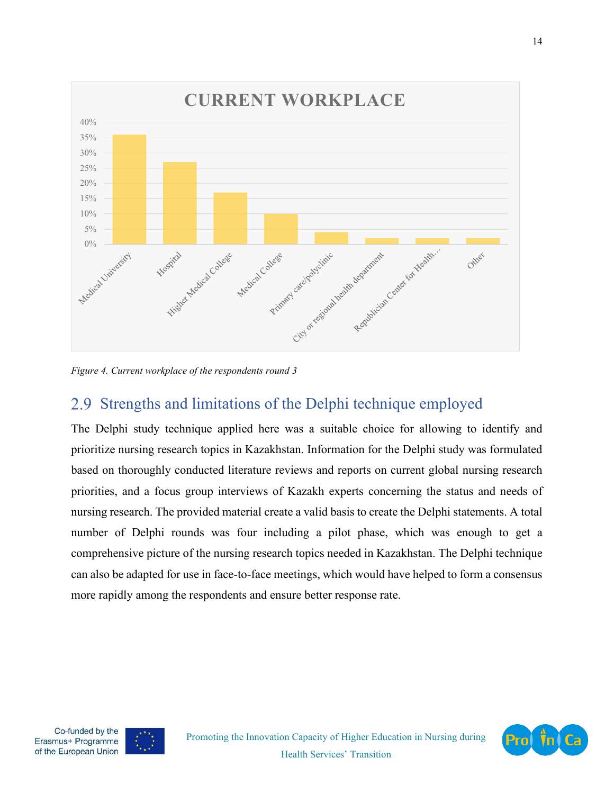

*Figure 4. Current workplace of the respondents round 3*

# <span id="page-13-0"></span>2.9 Strengths and limitations of the Delphi technique employed

The Delphi study technique applied here was a suitable choice for allowing to identify and prioritize nursing research topics in Kazakhstan. Information for the Delphi study was formulated based on thoroughly conducted literature reviews and reports on current global nursing research priorities, and a focus group interviews of Kazakh experts concerning the status and needs of nursing research. The provided material create a valid basis to create the Delphi statements. A total number of Delphi rounds was four including a pilot phase, which was enough to get a comprehensive picture of the nursing research topics needed in Kazakhstan. The Delphi technique can also be adapted for use in face-to-face meetings, which would have helped to form a consensus more rapidly among the respondents and ensure better response rate.



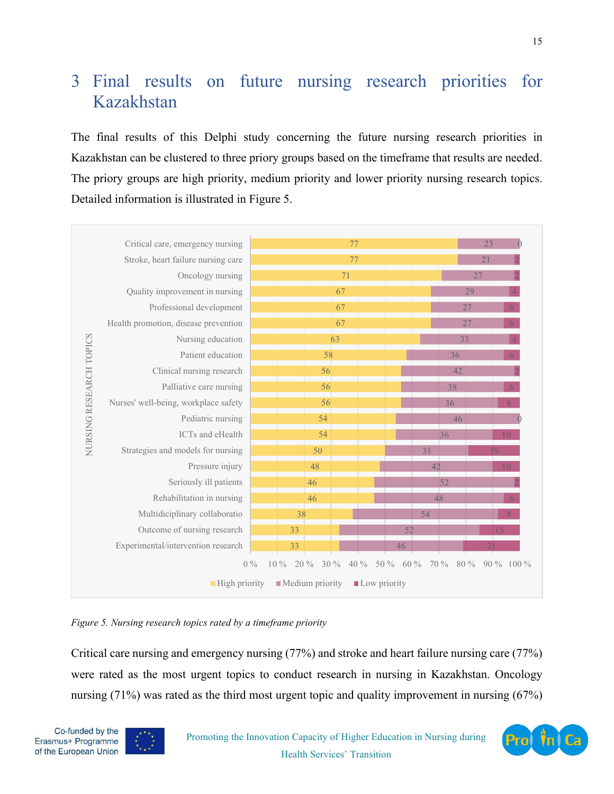# <span id="page-14-0"></span> Final results on future nursing research priorities for Kazakhstan

The final results of this Delphi study concerning the future nursing research priorities in Kazakhstan can be clustered to three priory groups based on the timeframe that results are needed. The priory groups are high priority, medium priority and lower priority nursing research topics. Detailed information is illustrated in Figure 5.



*Figure 5. Nursing research topics rated by a timeframe priority*

Critical care nursing and emergency nursing (77%) and stroke and heart failure nursing care (77%) were rated as the most urgent topics to conduct research in nursing in Kazakhstan. Oncology nursing (71%) was rated as the third most urgent topic and quality improvement in nursing (67%)



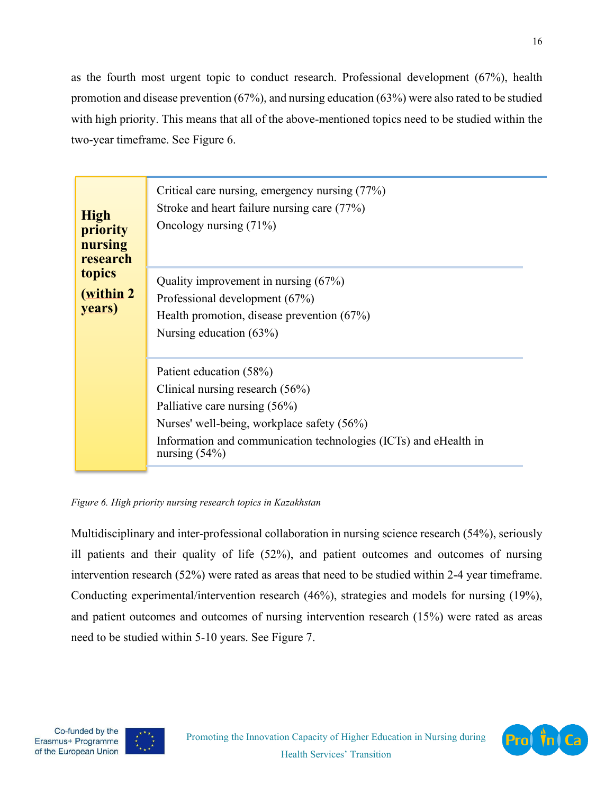as the fourth most urgent topic to conduct research. Professional development (67%), health promotion and disease prevention (67%), and nursing education (63%) were also rated to be studied with high priority. This means that all of the above-mentioned topics need to be studied within the two-year timeframe. See Figure 6.

| <b>High</b><br>priority<br>nursing<br>research | Critical care nursing, emergency nursing (77%)<br>Stroke and heart failure nursing care (77%)<br>Oncology nursing $(71%)$                                                                                                          |
|------------------------------------------------|------------------------------------------------------------------------------------------------------------------------------------------------------------------------------------------------------------------------------------|
| topics<br>(within 2)<br>years)                 | Quality improvement in nursing $(67%)$<br>Professional development (67%)<br>Health promotion, disease prevention $(67%)$<br>Nursing education $(63\%)$                                                                             |
|                                                | Patient education (58%)<br>Clinical nursing research $(56%)$<br>Palliative care nursing (56%)<br>Nurses' well-being, workplace safety (56%)<br>Information and communication technologies (ICTs) and eHealth in<br>nursing $(54%)$ |

*Figure 6. High priority nursing research topics in Kazakhstan*

Multidisciplinary and inter-professional collaboration in nursing science research (54%), seriously ill patients and their quality of life (52%), and patient outcomes and outcomes of nursing intervention research (52%) were rated as areas that need to be studied within 2-4 year timeframe. Conducting experimental/intervention research (46%), strategies and models for nursing (19%), and patient outcomes and outcomes of nursing intervention research (15%) were rated as areas need to be studied within 5-10 years. See Figure 7.



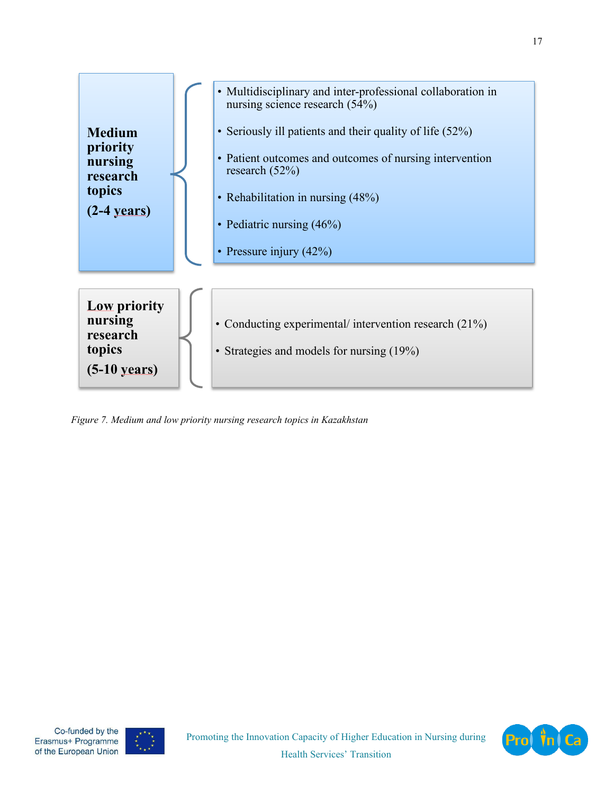

*Figure 7. Medium and low priority nursing research topics in Kazakhstan*



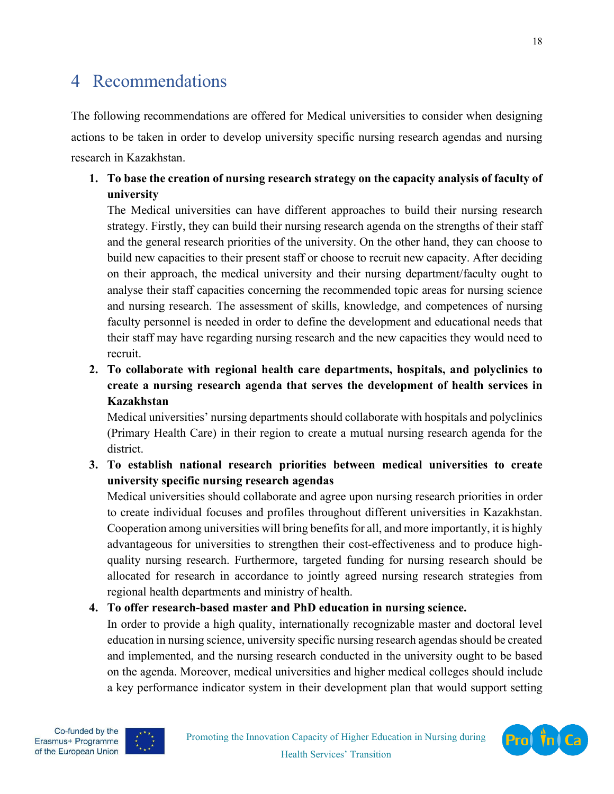# <span id="page-17-0"></span>4 Recommendations

The following recommendations are offered for Medical universities to consider when designing actions to be taken in order to develop university specific nursing research agendas and nursing research in Kazakhstan.

#### **1. To base the creation of nursing research strategy on the capacity analysis of faculty of university**

The Medical universities can have different approaches to build their nursing research strategy. Firstly, they can build their nursing research agenda on the strengths of their staff and the general research priorities of the university. On the other hand, they can choose to build new capacities to their present staff or choose to recruit new capacity. After deciding on their approach, the medical university and their nursing department/faculty ought to analyse their staff capacities concerning the recommended topic areas for nursing science and nursing research. The assessment of skills, knowledge, and competences of nursing faculty personnel is needed in order to define the development and educational needs that their staff may have regarding nursing research and the new capacities they would need to recruit.

**2. To collaborate with regional health care departments, hospitals, and polyclinics to create a nursing research agenda that serves the development of health services in Kazakhstan**

Medical universities' nursing departments should collaborate with hospitals and polyclinics (Primary Health Care) in their region to create a mutual nursing research agenda for the district.

**3. To establish national research priorities between medical universities to create university specific nursing research agendas**

Medical universities should collaborate and agree upon nursing research priorities in order to create individual focuses and profiles throughout different universities in Kazakhstan. Cooperation among universities will bring benefits for all, and more importantly, it is highly advantageous for universities to strengthen their cost-effectiveness and to produce highquality nursing research. Furthermore, targeted funding for nursing research should be allocated for research in accordance to jointly agreed nursing research strategies from regional health departments and ministry of health.

#### **4. To offer research-based master and PhD education in nursing science.**

In order to provide a high quality, internationally recognizable master and doctoral level education in nursing science, university specific nursing research agendas should be created and implemented, and the nursing research conducted in the university ought to be based on the agenda. Moreover, medical universities and higher medical colleges should include a key performance indicator system in their development plan that would support setting



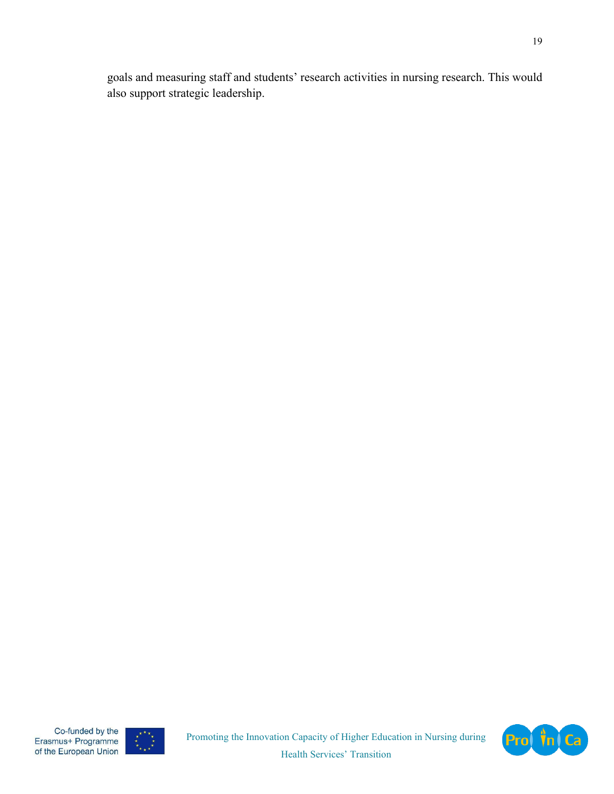<span id="page-18-0"></span>goals and measuring staff and students' research activities in nursing research. This would also support strategic leadership.



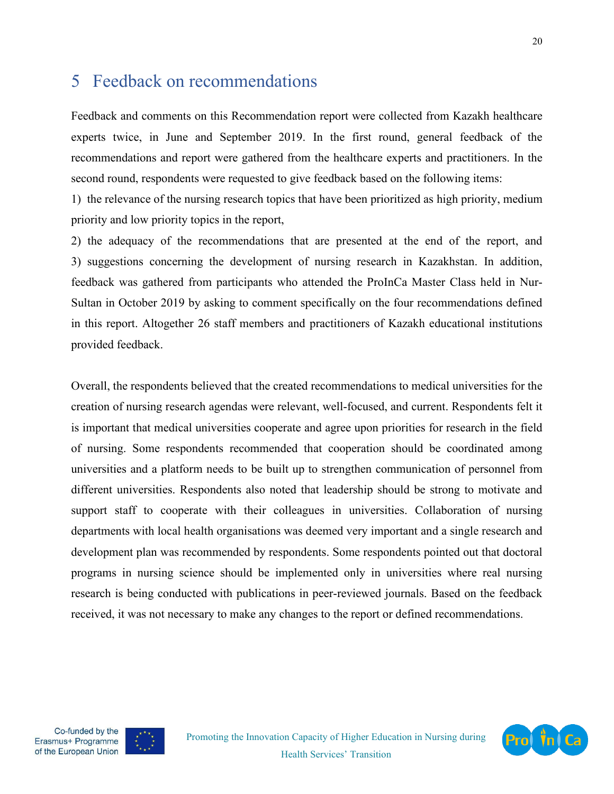### 5 Feedback on recommendations

Feedback and comments on this Recommendation report were collected from Kazakh healthcare experts twice, in June and September 2019. In the first round, general feedback of the recommendations and report were gathered from the healthcare experts and practitioners. In the second round, respondents were requested to give feedback based on the following items:

1) the relevance of the nursing research topics that have been prioritized as high priority, medium priority and low priority topics in the report,

2) the adequacy of the recommendations that are presented at the end of the report, and 3) suggestions concerning the development of nursing research in Kazakhstan. In addition, feedback was gathered from participants who attended the ProInCa Master Class held in Nur-Sultan in October 2019 by asking to comment specifically on the four recommendations defined in this report. Altogether 26 staff members and practitioners of Kazakh educational institutions provided feedback.

Overall, the respondents believed that the created recommendations to medical universities for the creation of nursing research agendas were relevant, well-focused, and current. Respondents felt it is important that medical universities cooperate and agree upon priorities for research in the field of nursing. Some respondents recommended that cooperation should be coordinated among universities and a platform needs to be built up to strengthen communication of personnel from different universities. Respondents also noted that leadership should be strong to motivate and support staff to cooperate with their colleagues in universities. Collaboration of nursing departments with local health organisations was deemed very important and a single research and development plan was recommended by respondents. Some respondents pointed out that doctoral programs in nursing science should be implemented only in universities where real nursing research is being conducted with publications in peer-reviewed journals. Based on the feedback received, it was not necessary to make any changes to the report or defined recommendations.





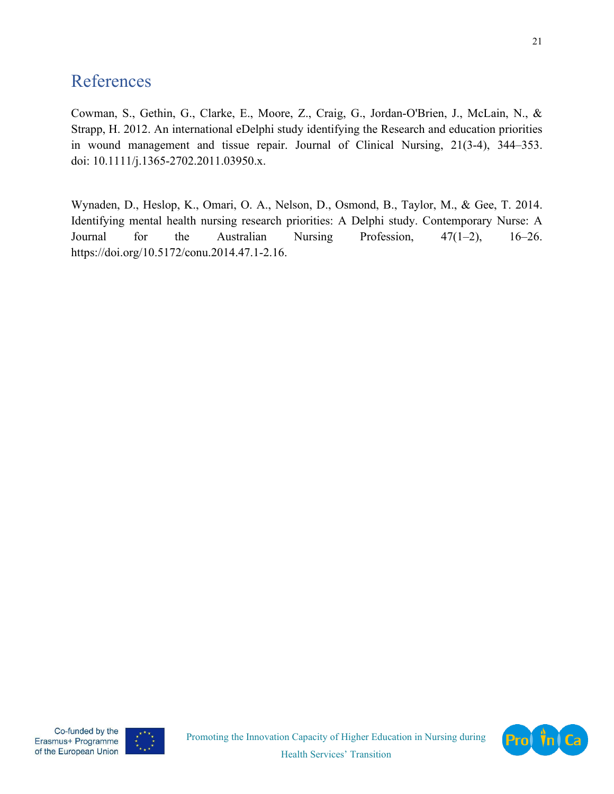## <span id="page-20-0"></span>References

Cowman, S., Gethin, G., Clarke, E., Moore, Z., Craig, G., Jordan-O'Brien, J., McLain, N., & Strapp, H. 2012. An international eDelphi study identifying the Research and education priorities in wound management and tissue repair. Journal of Clinical Nursing, 21(3-4), 344–353. doi: 10.1111/j.1365-2702.2011.03950.x.

Wynaden, D., Heslop, K., Omari, O. A., Nelson, D., Osmond, B., Taylor, M., & Gee, T. 2014. Identifying mental health nursing research priorities: A Delphi study. Contemporary Nurse: A Journal for the Australian Nursing Profession, 47(1–2), 16–26. https://doi.org/10.5172/conu.2014.47.1-2.16.